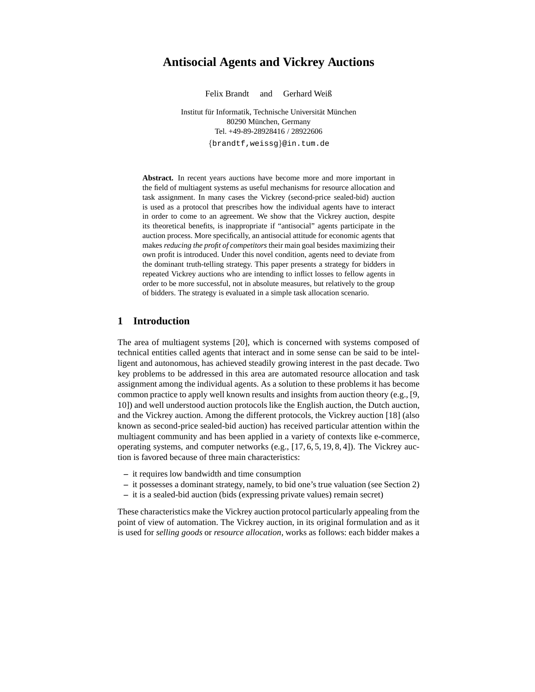# **Antisocial Agents and Vickrey Auctions**

Felix Brandt and Gerhard Weiß

Institut für Informatik, Technische Universität München 80290 München, Germany Tel. +49-89-28928416 / 28922606 {brandtf,weissg}@in.tum.de

**Abstract.** In recent years auctions have become more and more important in the field of multiagent systems as useful mechanisms for resource allocation and task assignment. In many cases the Vickrey (second-price sealed-bid) auction is used as a protocol that prescribes how the individual agents have to interact in order to come to an agreement. We show that the Vickrey auction, despite its theoretical benefits, is inappropriate if "antisocial" agents participate in the auction process. More specifically, an antisocial attitude for economic agents that makes *reducing the profit of competitors* their main goal besides maximizing their own profit is introduced. Under this novel condition, agents need to deviate from the dominant truth-telling strategy. This paper presents a strategy for bidders in repeated Vickrey auctions who are intending to inflict losses to fellow agents in order to be more successful, not in absolute measures, but relatively to the group of bidders. The strategy is evaluated in a simple task allocation scenario.

## **1 Introduction**

The area of multiagent systems [20], which is concerned with systems composed of technical entities called agents that interact and in some sense can be said to be intelligent and autonomous, has achieved steadily growing interest in the past decade. Two key problems to be addressed in this area are automated resource allocation and task assignment among the individual agents. As a solution to these problems it has become common practice to apply well known results and insights from auction theory (e.g., [9, 10]) and well understood auction protocols like the English auction, the Dutch auction, and the Vickrey auction. Among the different protocols, the Vickrey auction [18] (also known as second-price sealed-bid auction) has received particular attention within the multiagent community and has been applied in a variety of contexts like e-commerce, operating systems, and computer networks  $(e.g., [17, 6, 5, 19, 8, 4])$ . The Vickrey auction is favored because of three main characteristics:

- **–** it requires low bandwidth and time consumption
- **–** it possesses a dominant strategy, namely, to bid one's true valuation (see Section 2)
- **–** it is a sealed-bid auction (bids (expressing private values) remain secret)

These characteristics make the Vickrey auction protocol particularly appealing from the point of view of automation. The Vickrey auction, in its original formulation and as it is used for *selling goods* or *resource allocation*, works as follows: each bidder makes a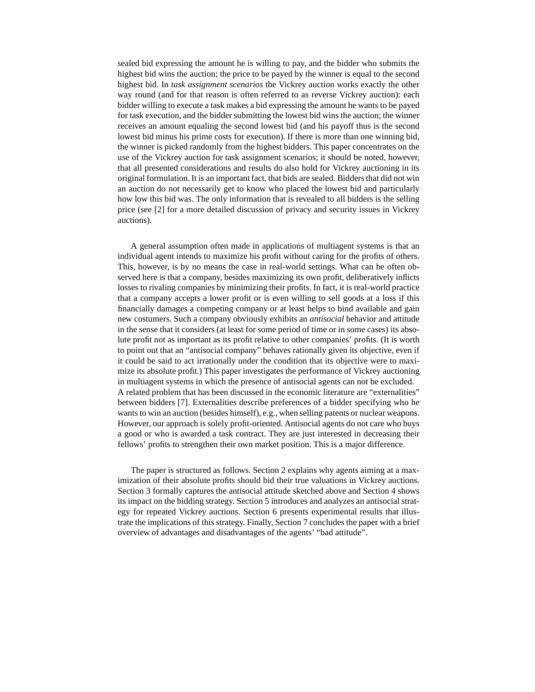sealed bid expressing the amount he is willing to pay, and the bidder who submits the highest bid wins the auction; the price to be payed by the winner is equal to the second highest bid. In *task assignment scenarios* the Vickrey auction works exactly the other way round (and for that reason is often referred to as reverse Vickrey auction): each bidder willing to execute a task makes a bid expressing the amount he wants to be payed for task execution, and the bidder submitting the lowest bid wins the auction; the winner receives an amount equaling the second lowest bid (and his payoff thus is the second lowest bid minus his prime costs for execution). If there is more than one winning bid, the winner is picked randomly from the highest bidders. This paper concentrates on the use of the Vickrey auction for task assignment scenarios; it should be noted, however, that all presented considerations and results do also hold for Vickrey auctioning in its original formulation. It is an important fact, that bids are sealed. Bidders that did not win an auction do not necessarily get to know who placed the lowest bid and particularly how low this bid was. The only information that is revealed to all bidders is the selling price (see [2] for a more detailed discussion of privacy and security issues in Vickrey auctions).

A general assumption often made in applications of multiagent systems is that an individual agent intends to maximize his profit without caring for the profits of others. This, however, is by no means the case in real-world settings. What can be often observed here is that a company, besides maximizing its own profit, deliberatively inflicts losses to rivaling companies by minimizing their profits. In fact, it is real-world practice that a company accepts a lower profit or is even willing to sell goods at a loss if this financially damages a competing company or at least helps to bind available and gain new costumers. Such a company obviously exhibits an *antisocial* behavior and attitude in the sense that it considers (at least for some period of time or in some cases) its absolute profit not as important as its profit relative to other companies' profits. (It is worth to point out that an "antisocial company" behaves rationally given its objective, even if it could be said to act irrationally under the condition that its objective were to maximize its absolute profit.) This paper investigates the performance of Vickrey auctioning in multiagent systems in which the presence of antisocial agents can not be excluded. A related problem that has been discussed in the economic literature are "externalities" between bidders [7]. Externalities describe preferences of a bidder specifying who he wants to win an auction (besides himself), e.g., when selling patents or nuclear weapons. However, our approach is solely profit-oriented. Antisocial agents do not care who buys a good or who is awarded a task contract. They are just interested in decreasing their fellows' profits to strengthen their own market position. This is a major difference.

The paper is structured as follows. Section 2 explains why agents aiming at a maximization of their absolute profits should bid their true valuations in Vickrey auctions. Section 3 formally captures the antisocial attitude sketched above and Section 4 shows its impact on the bidding strategy. Section 5 introduces and analyzes an antisocial strategy for repeated Vickrey auctions. Section 6 presents experimental results that illustrate the implications of this strategy. Finally, Section 7 concludes the paper with a brief overview of advantages and disadvantages of the agents' "bad attitude".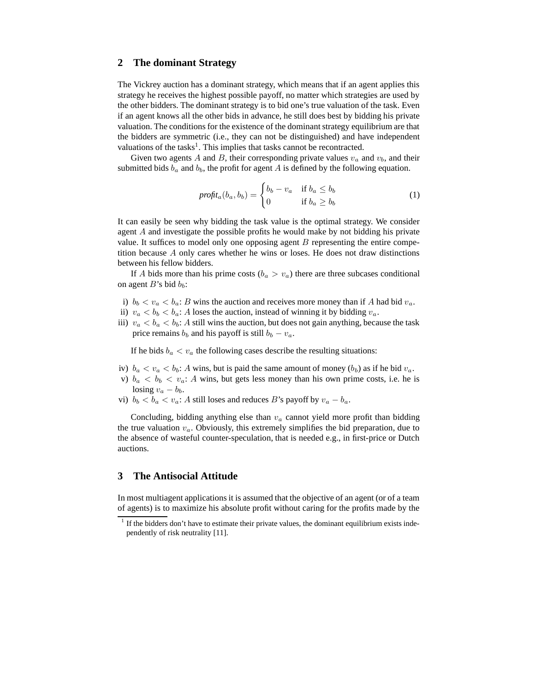### **2 The dominant Strategy**

The Vickrey auction has a dominant strategy, which means that if an agent applies this strategy he receives the highest possible payoff, no matter which strategies are used by the other bidders. The dominant strategy is to bid one's true valuation of the task. Even if an agent knows all the other bids in advance, he still does best by bidding his private valuation. The conditions for the existence of the dominantstrategy equilibrium are that the bidders are symmetric (i.e., they can not be distinguished) and have independent valuations of the tasks<sup>1</sup>. This implies that tasks cannot be recontracted.

Given two agents A and B, their corresponding private values  $v_a$  and  $v_b$ , and their submitted bids  $b_a$  and  $b_b$ , the profit for agent A is defined by the following equation.

$$
profit_a(b_a, b_b) = \begin{cases} b_b - v_a & \text{if } b_a \le b_b \\ 0 & \text{if } b_a \ge b_b \end{cases}
$$
 (1)

It can easily be seen why bidding the task value is the optimal strategy. We consider agent A and investigate the possible profits he would make by not bidding his private value. It suffices to model only one opposing agent  $B$  representing the entire competition because A only cares whether he wins or loses. He does not draw distinctions between his fellow bidders.

If A bids more than his prime costs  $(b_a > v_a)$  there are three subcases conditional on agent *B*'s bid  $b<sub>b</sub>$ :

- i)  $b_b < v_a < b_a$ : B wins the auction and receives more money than if A had bid  $v_a$ .
- ii)  $v_a < b_b < b_a$ : A loses the auction, instead of winning it by bidding  $v_a$ .
- iii)  $v_a < b_a < b_b$ : A still wins the auction, but does not gain anything, because the task price remains  $b_b$  and his payoff is still  $b_b - v_a$ .

If he bids  $b_a < v_a$  the following cases describe the resulting situations:

- iv)  $b_a < v_a < b_b$ : A wins, but is paid the same amount of money  $(b_b)$  as if he bid  $v_a$ .
- v)  $b_a < b_b < v_a$ : A wins, but gets less money than his own prime costs, i.e. he is losing  $v_a - b_b$ .
- vi)  $b_b < b_a < v_a$ : A still loses and reduces B's payoff by  $v_a b_a$ .

Concluding, bidding anything else than  $v_a$  cannot yield more profit than bidding the true valuation  $v_a$ . Obviously, this extremely simplifies the bid preparation, due to the absence of wasteful counter-speculation, that is needed e.g., in first-price or Dutch auctions.

### **3 The Antisocial Attitude**

In most multiagent applications it is assumed that the objective of an agent (or of a team of agents) is to maximize his absolute profit without caring for the profits made by the

<sup>&</sup>lt;sup>1</sup> If the bidders don't have to estimate their private values, the dominant equilibrium exists independently of risk neutrality [11].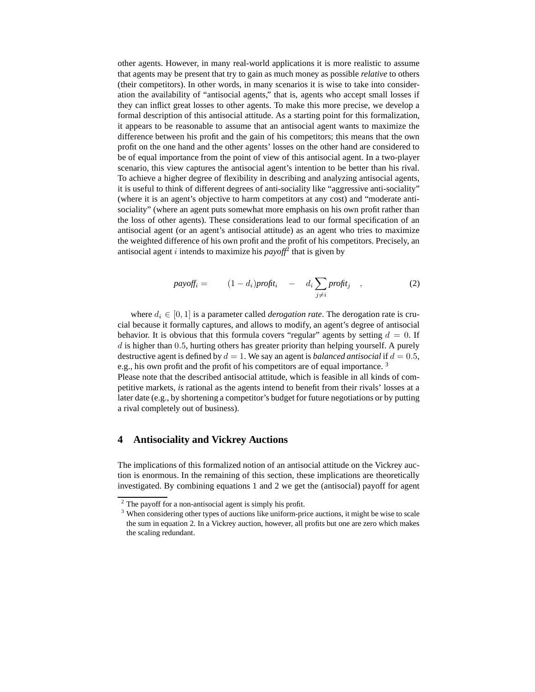other agents. However, in many real-world applications it is more realistic to assume that agents may be present that try to gain as much money as possible *relative* to others (their competitors). In other words, in many scenarios it is wise to take into consideration the availability of "antisocial agents," that is, agents who accept small losses if they can inflict great losses to other agents. To make this more precise, we develop a formal description of this antisocial attitude. As a starting point for this formalization, it appears to be reasonable to assume that an antisocial agent wants to maximize the difference between his profit and the gain of his competitors; this means that the own profit on the one hand and the other agents' losses on the other hand are considered to be of equal importance from the point of view of this antisocial agent. In a two-player scenario, this view captures the antisocial agent's intention to be better than his rival. To achieve a higher degree of flexibility in describing and analyzing antisocial agents, it is useful to think of different degrees of anti-sociality like "aggressive anti-sociality" (where it is an agent's objective to harm competitors at any cost) and "moderate antisociality" (where an agent puts somewhat more emphasis on his own profit rather than the loss of other agents). These considerations lead to our formal specification of an antisocial agent (or an agent's antisocial attitude) as an agent who tries to maximize the weighted difference of his own profit and the profit of his competitors. Precisely, an antisocial agent  $i$  intends to maximize his  $payoff<sup>2</sup>$  that is given by

$$
payoff_i = (1 - d_i)profit_i - d_i \sum_{j \neq i} profit_j , \qquad (2)
$$

where  $d_i \in [0, 1]$  is a parameter called *derogation rate*. The derogation rate is crucial because it formally captures, and allows to modify, an agent's degree of antisocial behavior. It is obvious that this formula covers "regular" agents by setting  $d = 0$ . If  $d$  is higher than 0.5, hurting others has greater priority than helping yourself. A purely destructive agent is defined by  $d = 1$ . We say an agent is *balanced antisocial* if  $d = 0.5$ , e.g., his own profit and the profit of his competitors are of equal importance.<sup>3</sup> Please note that the described antisocial attitude, which is feasible in all kinds of com-

petitive markets, *is* rational as the agents intend to benefit from their rivals' losses at a later date (e.g., by shortening a competitor's budget for future negotiations or by putting a rival completely out of business).

### **4 Antisociality and Vickrey Auctions**

The implications of this formalized notion of an antisocial attitude on the Vickrey auction is enormous. In the remaining of this section, these implications are theoretically investigated. By combining equations 1 and 2 we get the (antisocial) payoff for agent

 $2 \text{ The payoff for a non-antisocial agent is simply his profit.}$ 

<sup>&</sup>lt;sup>3</sup> When considering other types of auctions like uniform-price auctions, it might be wise to scale the sum in equation 2. In a Vickrey auction, however, all profits but one are zero which makes the scaling redundant.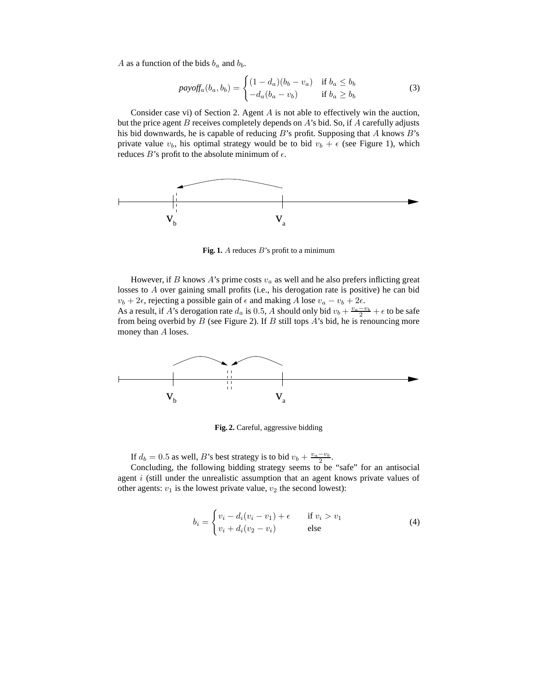A as a function of the bids  $b_a$  and  $b_b$ .

$$
payoff_a(b_a, b_b) = \begin{cases} (1 - d_a)(b_b - v_a) & \text{if } b_a \le b_b \\ -d_a(b_a - v_b) & \text{if } b_a \ge b_b \end{cases}
$$
 (3)

Consider case vi) of Section 2. Agent  $A$  is not able to effectively win the auction, but the price agent  $B$  receives completely depends on  $A$ 's bid. So, if  $A$  carefully adjusts his bid downwards, he is capable of reducing  $B$ 's profit. Supposing that  $A$  knows  $B$ 's private value  $v<sub>b</sub>$ , his optimal strategy would be to bid  $v<sub>b</sub> + \epsilon$  (see Figure 1), which reduces B's profit to the absolute minimum of  $\epsilon$ .



**Fig. 1.** A reduces B's profit to a minimum

However, if B knows A's prime costs  $v_a$  as well and he also prefers inflicting great losses to A over gaining small profits (i.e., his derogation rate is positive) he can bid  $v_b + 2\epsilon$ , rejecting a possible gain of  $\epsilon$  and making A lose  $v_a - v_b + 2\epsilon$ . As a result, if A's derogation rate  $d_a$  is 0.5, A should only bid  $v_b + \frac{v_a - v_b}{2} + \epsilon$  to be safe from being overbid by  $B$  (see Figure 2). If  $B$  still tops  $A$ 's bid, he is renouncing more





**Fig. 2.** Careful, aggressive bidding

If  $d_b = 0.5$  as well, B's best strategy is to bid  $v_b + \frac{v_a - v_b}{2}$ .

Concluding, the following bidding strategy seems to be "safe" for an antisocial agent  $i$  (still under the unrealistic assumption that an agent knows private values of other agents:  $v_1$  is the lowest private value,  $v_2$  the second lowest):

$$
b_i = \begin{cases} v_i - d_i(v_i - v_1) + \epsilon & \text{if } v_i > v_1 \\ v_i + d_i(v_2 - v_i) & \text{else} \end{cases}
$$
(4)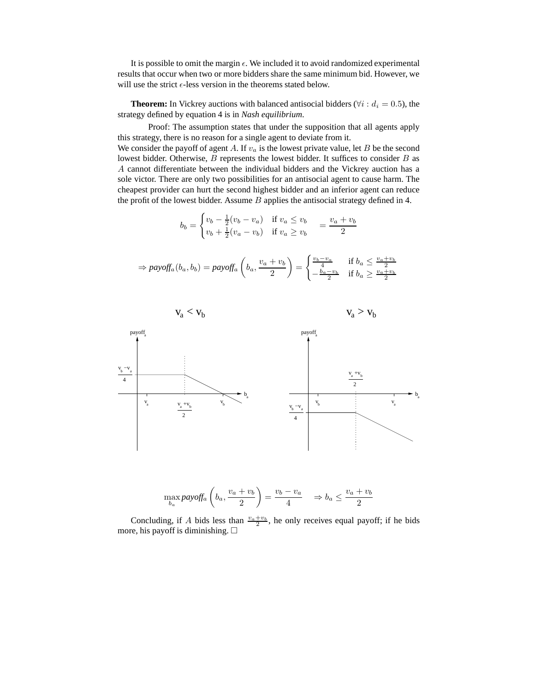It is possible to omit the margin  $\epsilon$ . We included it to avoid randomized experimental results that occur when two or more bidders share the same minimum bid. However, we will use the strict  $\epsilon$ -less version in the theorems stated below.

**Theorem:** In Vickrey auctions with balanced antisocial bidders ( $\forall i : d_i = 0.5$ ), the strategy defined by equation 4 is in *Nash equilibrium*.

Proof: The assumption states that under the supposition that all agents apply this strategy, there is no reason for a single agent to deviate from it. We consider the payoff of agent A. If  $v_a$  is the lowest private value, let B be the second lowest bidder. Otherwise,  $B$  represents the lowest bidder. It suffices to consider  $B$  as A cannot differentiate between the individual bidders and the Vickrey auction has a sole victor. There are only two possibilities for an antisocial agent to cause harm. The cheapest provider can hurt the second highest bidder and an inferior agent can reduce the profit of the lowest bidder. Assume  $B$  applies the antisocial strategy defined in 4.

$$
b_b = \begin{cases} v_b - \frac{1}{2}(v_b - v_a) & \text{if } v_a \le v_b \\ v_b + \frac{1}{2}(v_a - v_b) & \text{if } v_a \ge v_b \end{cases} = \frac{v_a + v_b}{2}
$$

$$
\Rightarrow payoff_a(b_a, b_b) = payoff_a\left(b_a, \frac{v_a + v_b}{2}\right) = \begin{cases} \frac{v_b - v_a}{4} & \text{if } b_a \le \frac{v_a + v_b}{2} \\ -\frac{b_a - v_b}{2} & \text{if } b_a \ge \frac{v_a + v_b}{2} \end{cases}
$$



$$
\max_{b_a} \text{payoff}_a\left(b_a, \frac{v_a + v_b}{2}\right) = \frac{v_b - v_a}{4} \quad \Rightarrow b_a \le \frac{v_a + v_b}{2}
$$

Concluding, if A bids less than  $\frac{v_a + v_b}{2}$ , he only receives equal payoff; if he bids more, his payoff is diminishing.  $\square$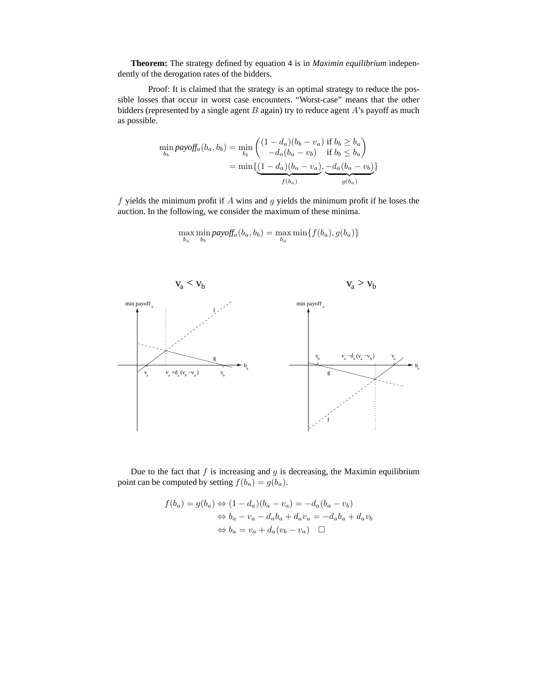**Theorem:** The strategy defined by equation 4 is in *Maximin equilibrium* independently of the derogation rates of the bidders.

Proof: It is claimed that the strategy is an optimal strategy to reduce the possible losses that occur in worst case encounters. "Worst-case" means that the other bidders (represented by a single agent  $B$  again) try to reduce agent  $A$ 's payoff as much as possible.

$$
\min_{b_b} \text{payoff}_a(b_a, b_b) = \min_{b_b} \left( \frac{(1 - d_a)(b_b - v_a) \text{ if } b_b \ge b_a}{-d_a(b_a - v_b) \text{ if } b_b \le b_a} \right)
$$
\n
$$
= \min \{ \underbrace{(1 - d_a)(b_a - v_a)}_{f(b_a)}, \underbrace{-d_a(b_a - v_b)}_{g(b_a)} \}
$$

 $f$  yields the minimum profit if  $A$  wins and  $g$  yields the minimum profit if he loses the auction. In the following, we consider the maximum of these minima.



$$
\max_{b_a} \min_{b_b} payoff_a(b_a, b_b) = \max_{b_a} \min\{f(b_a), g(b_a)\}\
$$

Due to the fact that  $f$  is increasing and  $g$  is decreasing, the Maximin equilibrium point can be computed by setting  $f(b_a) = g(b_a)$ .

$$
f(b_a) = g(b_a) \Leftrightarrow (1 - d_a)(b_a - v_a) = -d_a(b_a - v_b)
$$
  

$$
\Leftrightarrow b_a - v_a - d_a b_a + d_a v_a = -d_a b_a + d_a v_b
$$
  

$$
\Leftrightarrow b_a = v_a + d_a (v_b - v_a) \quad \Box
$$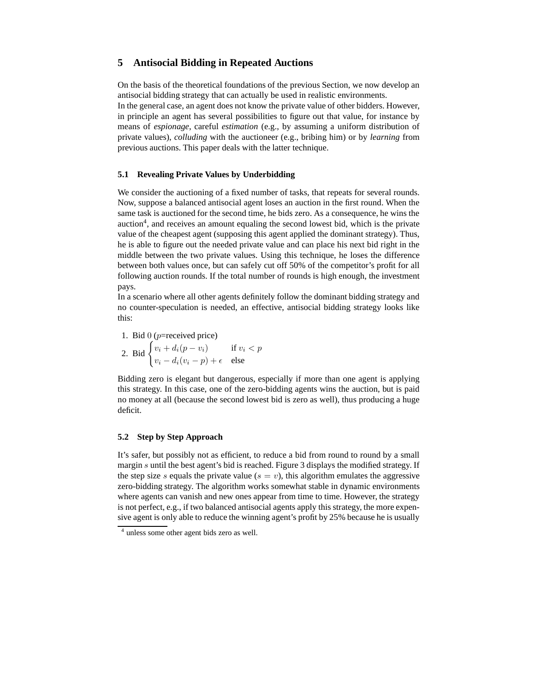# **5 Antisocial Bidding in Repeated Auctions**

On the basis of the theoretical foundations of the previous Section, we now develop an antisocial bidding strategy that can actually be used in realistic environments.

In the general case, an agent does not know the private value of other bidders. However, in principle an agent has several possibilities to figure out that value, for instance by means of *espionage*, careful *estimation* (e.g., by assuming a uniform distribution of private values), *colluding* with the auctioneer (e.g., bribing him) or by *learning* from previous auctions. This paper deals with the latter technique.

#### **5.1 Revealing Private Values by Underbidding**

We consider the auctioning of a fixed number of tasks, that repeats for several rounds. Now, suppose a balanced antisocial agent loses an auction in the first round. When the same task is auctioned for the second time, he bids zero. As a consequence, he wins the auction<sup>4</sup>, and receives an amount equaling the second lowest bid, which is the private value of the cheapest agent (supposing this agent applied the dominant strategy). Thus, he is able to figure out the needed private value and can place his next bid right in the middle between the two private values. Using this technique, he loses the difference between both values once, but can safely cut off 50% of the competitor's profit for all following auction rounds. If the total number of rounds is high enough, the investment pays.

In a scenario where all other agents definitely follow the dominant bidding strategy and no counter-speculation is needed, an effective, antisocial bidding strategy looks like this:

\n- 1. Bid 
$$
0
$$
 (p=received price)
\n- 2. Bid  $\begin{cases} v_i + d_i(p - v_i) & \text{if } v_i < p \\ v_i - d_i(v_i - p) + \epsilon & \text{else} \end{cases}$
\n

Bidding zero is elegant but dangerous, especially if more than one agent is applying this strategy. In this case, one of the zero-bidding agents wins the auction, but is paid no money at all (because the second lowest bid is zero as well), thus producing a huge deficit.

#### **5.2 Step by Step Approach**

It's safer, but possibly not as efficient, to reduce a bid from round to round by a small margin s until the best agent's bid is reached. Figure 3 displays the modified strategy. If the step size s equals the private value ( $s = v$ ), this algorithm emulates the aggressive zero-bidding strategy. The algorithm works somewhat stable in dynamic environments where agents can vanish and new ones appear from time to time. However, the strategy is not perfect, e.g., if two balanced antisocial agents apply this strategy, the more expensive agent is only able to reduce the winning agent's profit by 25% because he is usually

<sup>4</sup> unless some other agent bids zero as well.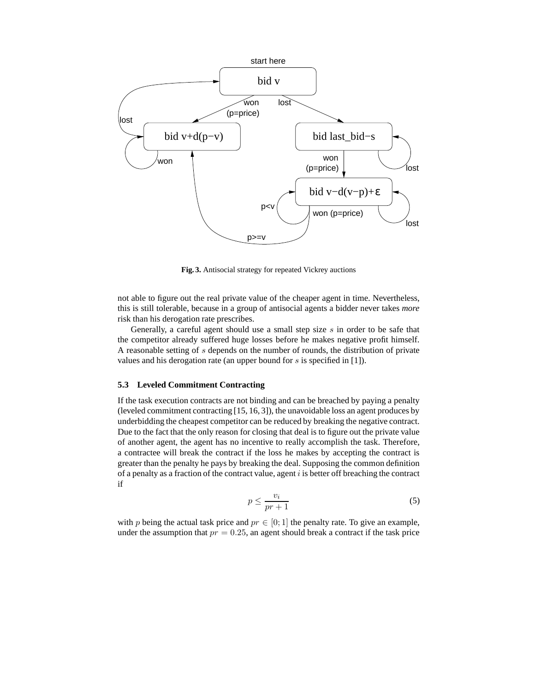

**Fig. 3.** Antisocial strategy for repeated Vickrey auctions

not able to figure out the real private value of the cheaper agent in time. Nevertheless, this is still tolerable, because in a group of antisocial agents a bidder never takes *more* risk than his derogation rate prescribes.

Generally, a careful agent should use a small step size s in order to be safe that the competitor already suffered huge losses before he makes negative profit himself. A reasonable setting of s depends on the number of rounds, the distribution of private values and his derogation rate (an upper bound for s is specified in [1]).

#### **5.3 Leveled Commitment Contracting**

If the task execution contracts are not binding and can be breached by paying a penalty (leveled commitment contracting [15, 16, 3]), the unavoidable loss an agent produces by underbidding the cheapest competitor can be reduced by breaking the negative contract. Due to the fact that the only reason for closing that deal is to figure out the private value of another agent, the agent has no incentive to really accomplish the task. Therefore, a contractee will break the contract if the loss he makes by accepting the contract is greater than the penalty he pays by breaking the deal. Supposing the common definition of a penalty as a fraction of the contract value, agent  $i$  is better off breaching the contract if

$$
p \le \frac{v_i}{pr + 1} \tag{5}
$$

with p being the actual task price and  $pr \in [0, 1]$  the penalty rate. To give an example, under the assumption that  $pr = 0.25$ , an agent should break a contract if the task price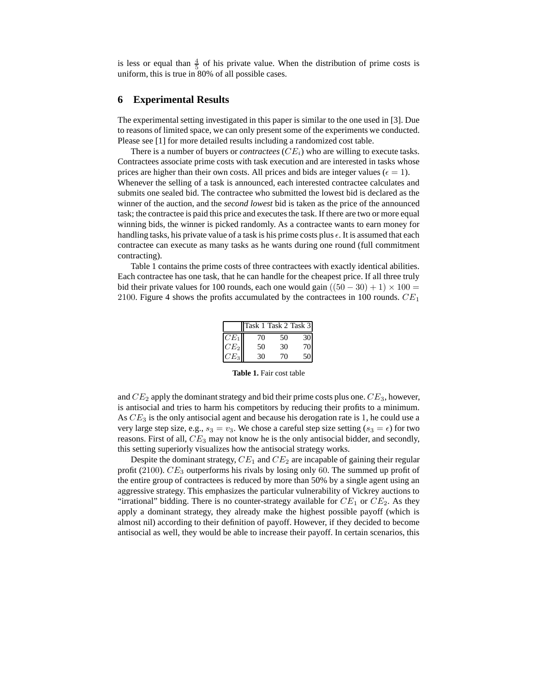is less or equal than  $\frac{4}{5}$  of his private value. When the distribution of prime costs is uniform, this is true in 80% of all possible cases.

## **6 Experimental Results**

The experimental setting investigated in this paper is similar to the one used in [3]. Due to reasons of limited space, we can only present some of the experiments we conducted. Please see [1] for more detailed results including a randomized cost table.

There is a number of buyers or *contractees*  $(CE<sub>i</sub>)$  who are willing to execute tasks. Contractees associate prime costs with task execution and are interested in tasks whose prices are higher than their own costs. All prices and bids are integer values ( $\epsilon = 1$ ). Whenever the selling of a task is announced, each interested contractee calculates and submits one sealed bid. The contractee who submitted the lowest bid is declared as the winner of the auction, and the *second lowest* bid is taken as the price of the announced task; the contractee is paid this price and executes the task. If there are two or more equal winning bids, the winner is picked randomly. As a contractee wants to earn money for handling tasks, his private value of a task is his prime costs plus  $\epsilon$ . It is assumed that each contractee can execute as many tasks as he wants during one round (full commitment contracting).

Table 1 contains the prime costs of three contractees with exactly identical abilities. Each contractee has one task, that he can handle for the cheapest price. If all three truly bid their private values for 100 rounds, each one would gain  $((50 - 30) + 1) \times 100 =$ 2100. Figure 4 shows the profits accumulated by the contractees in 100 rounds.  $CE_1$ 

|                     | Task 1 Task 2 Task 3 |    |    |
|---------------------|----------------------|----|----|
| $CE_1$              | 70                   | 50 | 30 |
| $\left CE_2\right $ | 50                   | 30 | 70 |
| $CE_3$              | 30                   | 70 | 50 |

**Table 1.** Fair cost table

and  $CE_2$  apply the dominant strategy and bid their prime costs plus one.  $CE_3$ , however, is antisocial and tries to harm his competitors by reducing their profits to a minimum. As  $CE_3$  is the only antisocial agent and because his derogation rate is 1, he could use a very large step size, e.g.,  $s_3 = v_3$ . We chose a careful step size setting  $(s_3 = \epsilon)$  for two reasons. First of all,  $CE_3$  may not know he is the only antisocial bidder, and secondly, this setting superiorly visualizes how the antisocial strategy works.

Despite the dominant strategy,  $CE_1$  and  $CE_2$  are incapable of gaining their regular profit (2100).  $CE_3$  outperforms his rivals by losing only 60. The summed up profit of the entire group of contractees is reduced by more than 50% by a single agent using an aggressive strategy. This emphasizes the particular vulnerability of Vickrey auctions to "irrational" bidding. There is no counter-strategy available for  $CE_1$  or  $CE_2$ . As they apply a dominant strategy, they already make the highest possible payoff (which is almost nil) according to their definition of payoff. However, if they decided to become antisocial as well, they would be able to increase their payoff. In certain scenarios, this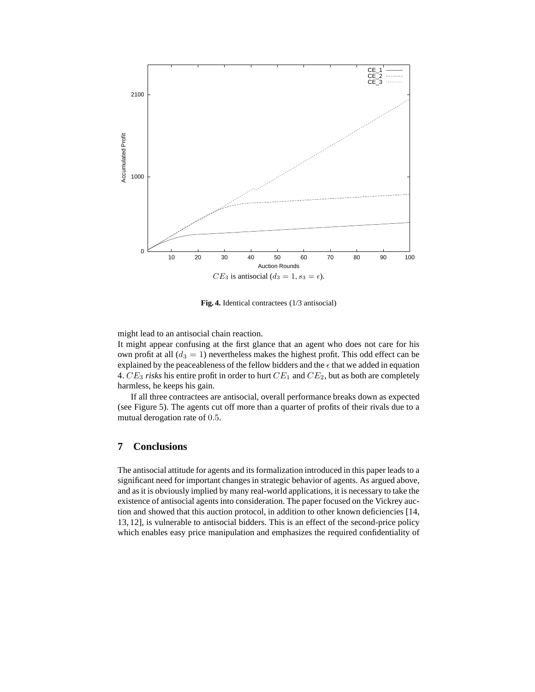

**Fig. 4.** Identical contractees (1/3 antisocial)

might lead to an antisocial chain reaction.

It might appear confusing at the first glance that an agent who does not care for his own profit at all  $(d_3 = 1)$  nevertheless makes the highest profit. This odd effect can be explained by the peaceableness of the fellow bidders and the  $\epsilon$  that we added in equation 4.  $CE_3$  *risks* his entire profit in order to hurt  $CE_1$  and  $CE_2$ , but as both are completely harmless, he keeps his gain.

If all three contractees are antisocial, overall performance breaks down as expected (see Figure 5). The agents cut off more than a quarter of profits of their rivals due to a mutual derogation rate of 0.5.

# **7 Conclusions**

The antisocial attitude for agents and its formalization introduced in this paper leads to a significant need for important changes in strategic behavior of agents. As argued above, and as it is obviously implied by many real-world applications, it is necessary to take the existence of antisocial agents into consideration. The paper focused on the Vickrey auction and showed that this auction protocol, in addition to other known deficiencies [14, 13, 12], is vulnerable to antisocial bidders. This is an effect of the second-price policy which enables easy price manipulation and emphasizes the required confidentiality of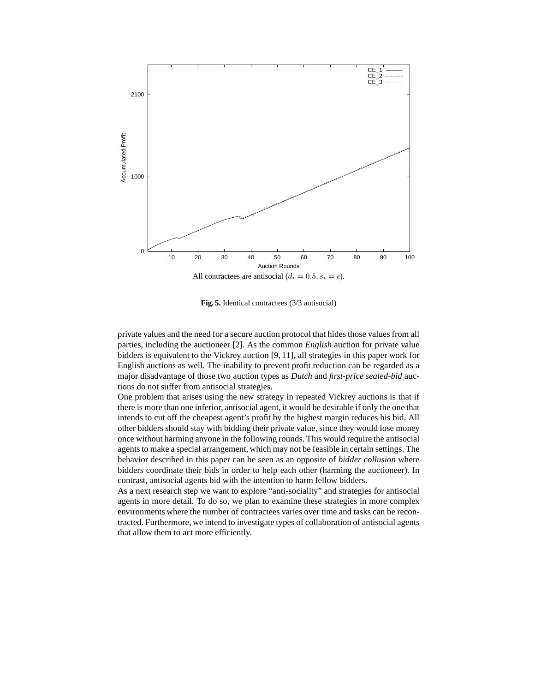

**Fig. 5.** Identical contractees (3/3 antisocial)

private values and the need for a secure auction protocol that hides those values from all parties, including the auctioneer [2]. As the common *English* auction for private value bidders is equivalent to the Vickrey auction [9, 11], all strategies in this paper work for English auctions as well. The inability to prevent profit reduction can be regarded as a major disadvantage of those two auction types as *Dutch* and *first-price sealed-bid* auctions do not suffer from antisocial strategies.

One problem that arises using the new strategy in repeated Vickrey auctions is that if there is more than one inferior, antisocial agent, it would be desirable if only the one that intends to cut off the cheapest agent's profit by the highest margin reduces his bid. All other bidders should stay with bidding their private value, since they would lose money once without harming anyone in the following rounds. This would require the antisocial agents to make a special arrangement, which may not be feasible in certain settings. The behavior described in this paper can be seen as an opposite of *bidder collusion* where bidders coordinate their bids in order to help each other (harming the auctioneer). In contrast, antisocial agents bid with the intention to harm fellow bidders.

As a next research step we want to explore "anti-sociality" and strategies for antisocial agents in more detail. To do so, we plan to examine these strategies in more complex environments where the number of contractees varies over time and tasks can be recontracted. Furthermore, we intend to investigate types of collaboration of antisocial agents that allow them to act more efficiently.